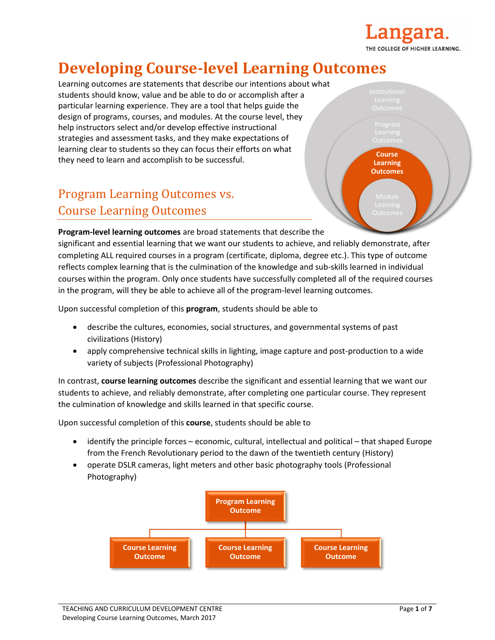

# **Developing Course-level Learning Outcomes**

Learning outcomes are statements that describe our intentions about what students should know, value and be able to do or accomplish after a particular learning experience. They are a tool that helps guide the design of programs, courses, and modules. At the course level, they help instructors select and/or develop effective instructional strategies and assessment tasks, and they make expectations of learning clear to students so they can focus their efforts on what they need to learn and accomplish to be successful.

# Program Learning Outcomes vs. Course Learning Outcomes

**Course Learning Outcomes**

**Program-level learning outcomes** are broad statements that describe the

significant and essential learning that we want our students to achieve, and reliably demonstrate, after completing ALL required courses in a program (certificate, diploma, degree etc.). This type of outcome reflects complex learning that is the culmination of the knowledge and sub-skills learned in individual courses within the program. Only once students have successfully completed all of the required courses in the program, will they be able to achieve all of the program-level learning outcomes.

Upon successful completion of this **program**, students should be able to

- describe the cultures, economies, social structures, and governmental systems of past civilizations (History)
- apply comprehensive technical skills in lighting, image capture and post-production to a wide variety of subjects (Professional Photography)

In contrast, **course learning outcomes** describe the significant and essential learning that we want our students to achieve, and reliably demonstrate, after completing one particular course. They represent the culmination of knowledge and skills learned in that specific course.

Upon successful completion of this **course**, students should be able to

- identify the principle forces economic, cultural, intellectual and political that shaped Europe from the French Revolutionary period to the dawn of the twentieth century (History)
- operate DSLR cameras, light meters and other basic photography tools (Professional Photography)

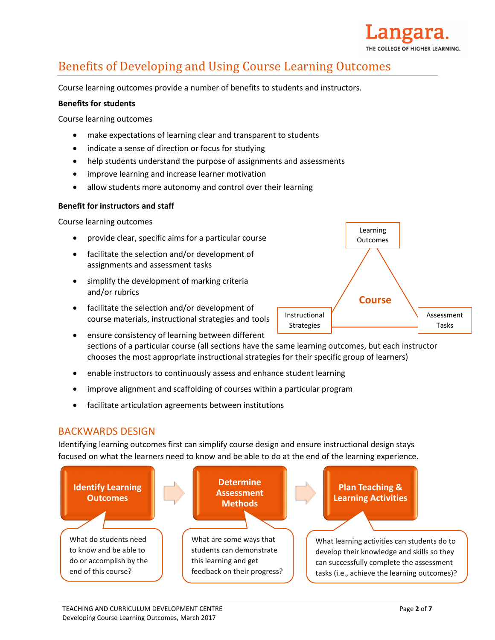

# Benefits of Developing and Using Course Learning Outcomes

Course learning outcomes provide a number of benefits to students and instructors.

#### **Benefits for students**

Course learning outcomes

- make expectations of learning clear and transparent to students
- indicate a sense of direction or focus for studying
- help students understand the purpose of assignments and assessments
- improve learning and increase learner motivation
- allow students more autonomy and control over their learning

#### **Benefit for instructors and staff**

Course learning outcomes

- provide clear, specific aims for a particular course
- facilitate the selection and/or development of assignments and assessment tasks
- simplify the development of marking criteria and/or rubrics
- facilitate the selection and/or development of course materials, instructional strategies and tools



- ensure consistency of learning between different sections of a particular course (all sections have the same learning outcomes, but each instructor chooses the most appropriate instructional strategies for their specific group of learners)
- enable instructors to continuously assess and enhance student learning
- improve alignment and scaffolding of courses within a particular program
- facilitate articulation agreements between institutions

### BACKWARDS DESIGN

Identifying learning outcomes first can simplify course design and ensure instructional design stays focused on what the learners need to know and be able to do at the end of the learning experience.

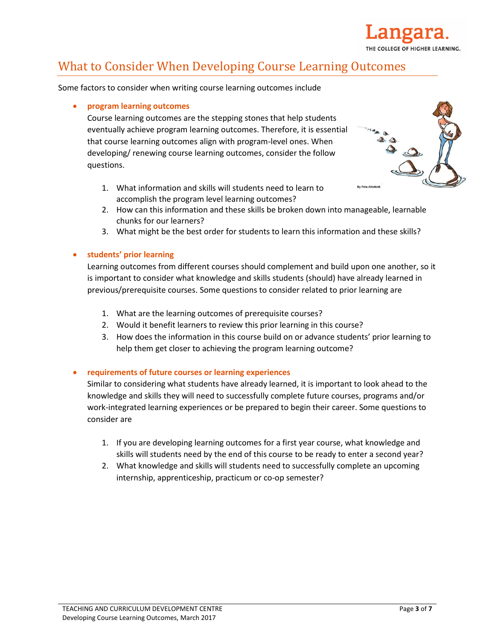

# What to Consider When Developing Course Learning Outcomes

Some factors to consider when writing course learning outcomes include

#### **program learning outcomes**

Course learning outcomes are the stepping stones that help students eventually achieve program learning outcomes. Therefore, it is essential that course learning outcomes align with program-level ones. When developing/ renewing course learning outcomes, consider the follow questions.

1. What information and skills will students need to learn to accomplish the program level learning outcomes?



- 2. How can this information and these skills be broken down into manageable, learnable chunks for our learners?
- 3. What might be the best order for students to learn this information and these skills?

#### **students' prior learning**

Learning outcomes from different courses should complement and build upon one another, so it is important to consider what knowledge and skills students (should) have already learned in previous/prerequisite courses. Some questions to consider related to prior learning are

- 1. What are the learning outcomes of prerequisite courses?
- 2. Would it benefit learners to review this prior learning in this course?
- 3. How does the information in this course build on or advance students' prior learning to help them get closer to achieving the program learning outcome?

#### **requirements of future courses or learning experiences**

Similar to considering what students have already learned, it is important to look ahead to the knowledge and skills they will need to successfully complete future courses, programs and/or work-integrated learning experiences or be prepared to begin their career. Some questions to consider are

- 1. If you are developing learning outcomes for a first year course, what knowledge and skills will students need by the end of this course to be ready to enter a second year?
- 2. What knowledge and skills will students need to successfully complete an upcoming internship, apprenticeship, practicum or co-op semester?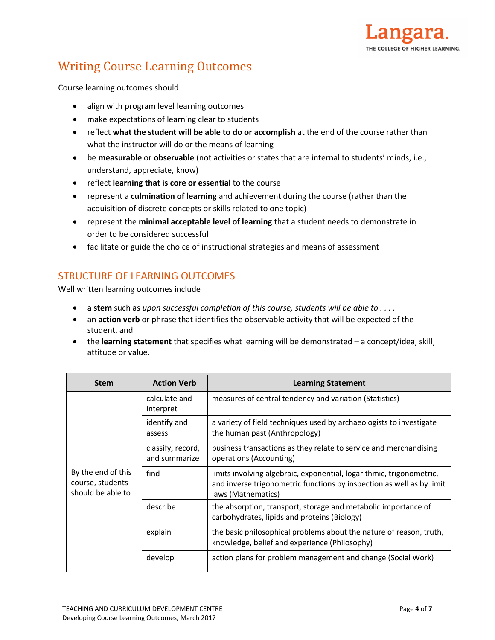

# Writing Course Learning Outcomes

Course learning outcomes should

- align with program level learning outcomes
- make expectations of learning clear to students
- reflect **what the student will be able to do or accomplish** at the end of the course rather than what the instructor will do or the means of learning
- be **measurable** or **observable** (not activities or states that are internal to students' minds, i.e., understand, appreciate, know)
- reflect **learning that is core or essential** to the course
- represent a **culmination of learning** and achievement during the course (rather than the acquisition of discrete concepts or skills related to one topic)
- represent the **minimal acceptable level of learning** that a student needs to demonstrate in order to be considered successful
- facilitate or guide the choice of instructional strategies and means of assessment

## STRUCTURE OF LEARNING OUTCOMES

Well written learning outcomes include

- a **stem** such as *upon successful completion of this course, students will be able to . . . .*
- an **action verb** or phrase that identifies the observable activity that will be expected of the student, and
- the **learning statement** that specifies what learning will be demonstrated a concept/idea, skill, attitude or value.

| <b>Stem</b>                                                 | <b>Action Verb</b>                 | <b>Learning Statement</b>                                                                                                                                           |  |  |
|-------------------------------------------------------------|------------------------------------|---------------------------------------------------------------------------------------------------------------------------------------------------------------------|--|--|
| By the end of this<br>course, students<br>should be able to | calculate and<br>interpret         | measures of central tendency and variation (Statistics)                                                                                                             |  |  |
|                                                             | identify and<br>assess             | a variety of field techniques used by archaeologists to investigate<br>the human past (Anthropology)                                                                |  |  |
|                                                             | classify, record,<br>and summarize | business transactions as they relate to service and merchandising<br>operations (Accounting)                                                                        |  |  |
|                                                             | find                               | limits involving algebraic, exponential, logarithmic, trigonometric,<br>and inverse trigonometric functions by inspection as well as by limit<br>laws (Mathematics) |  |  |
|                                                             | describe                           | the absorption, transport, storage and metabolic importance of<br>carbohydrates, lipids and proteins (Biology)                                                      |  |  |
|                                                             | explain                            | the basic philosophical problems about the nature of reason, truth,<br>knowledge, belief and experience (Philosophy)                                                |  |  |
|                                                             | develop                            | action plans for problem management and change (Social Work)                                                                                                        |  |  |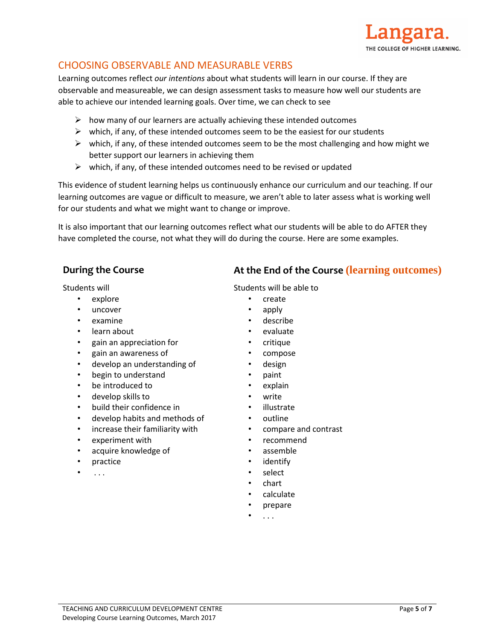

## CHOOSING OBSERVABLE AND MEASURABLE VERBS

Learning outcomes reflect *our intentions* about what students will learn in our course. If they are observable and measureable, we can design assessment tasks to measure how well our students are able to achieve our intended learning goals. Over time, we can check to see

- $\triangleright$  how many of our learners are actually achieving these intended outcomes
- $\triangleright$  which, if any, of these intended outcomes seem to be the easiest for our students
- $\triangleright$  which, if any, of these intended outcomes seem to be the most challenging and how might we better support our learners in achieving them
- $\triangleright$  which, if any, of these intended outcomes need to be revised or updated

This evidence of student learning helps us continuously enhance our curriculum and our teaching. If our learning outcomes are vague or difficult to measure, we aren't able to later assess what is working well for our students and what we might want to change or improve.

It is also important that our learning outcomes reflect what our students will be able to do AFTER they have completed the course, not what they will do during the course. Here are some examples.

Students will

- explore
- uncover
- examine
- learn about
- gain an appreciation for
- gain an awareness of
- develop an understanding of
- begin to understand
- be introduced to
- develop skills to
- build their confidence in
- develop habits and methods of
- increase their familiarity with
- experiment with
- acquire knowledge of
- practice
- . . .

## **During the Course At the End of the Course (learning outcomes)**

Students will be able to

- create
- apply
- describe
- evaluate
- critique
- compose
- design
- paint
- explain
- write
- illustrate
- outline
- compare and contrast
- recommend
- assemble
- **identify**
- select
- chart
- calculate
- prepare
- . . .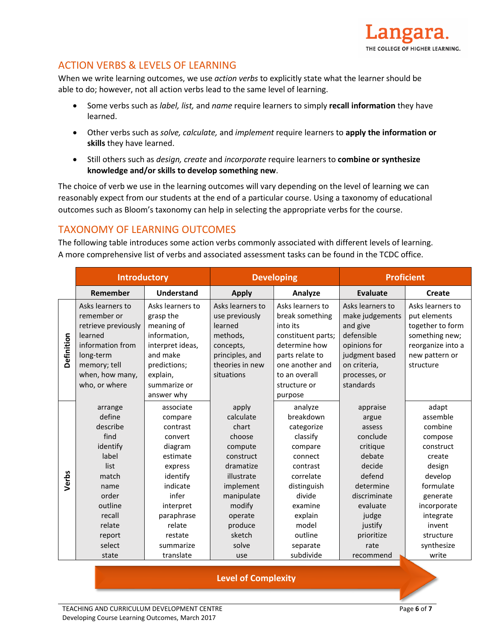

## ACTION VERBS & LEVELS OF LEARNING

When we write learning outcomes, we use *action verbs* to explicitly state what the learner should be able to do; however, not all action verbs lead to the same level of learning.

- Some verbs such as *label, list,* and *name* require learners to simply **recall information** they have learned.
- Other verbs such as *solve, calculate,* and *implement* require learners to **apply the information or skills** they have learned.
- Still others such as *design, create* and *incorporate* require learners to **combine or synthesize knowledge and/or skills to develop something new**.

The choice of verb we use in the learning outcomes will vary depending on the level of learning we can reasonably expect from our students at the end of a particular course. Using a taxonomy of educational outcomes such as Bloom's taxonomy can help in selecting the appropriate verbs for the course.

## TAXONOMY OF LEARNING OUTCOMES

The following table introduces some action verbs commonly associated with different levels of learning. A more comprehensive list of verbs and associated assessment tasks can be found in the TCDC office.

|            | <b>Introductory</b> |                   | <b>Developing</b> |                    | <b>Proficient</b> |                   |
|------------|---------------------|-------------------|-------------------|--------------------|-------------------|-------------------|
|            | Remember            | <b>Understand</b> | <b>Apply</b>      | Analyze            | Evaluate          | Create            |
|            | Asks learners to    | Asks learners to  | Asks learners to  | Asks learners to   | Asks learners to  | Asks learners to  |
|            | remember or         | grasp the         | use previously    | break something    | make judgements   | put elements      |
|            | retrieve previously | meaning of        | learned           | into its           | and give          | together to form  |
|            | learned             | information,      | methods,          | constituent parts; | defensible        | something new;    |
|            | information from    | interpret ideas,  | concepts,         | determine how      | opinions for      | reorganize into a |
| Definition | long-term           | and make          | principles, and   | parts relate to    | judgment based    | new pattern or    |
|            | memory; tell        | predictions;      | theories in new   | one another and    | on criteria,      | structure         |
|            | when, how many,     | explain,          | situations        | to an overall      | processes, or     |                   |
|            | who, or where       | summarize or      |                   | structure or       | standards         |                   |
|            |                     | answer why        |                   | purpose            |                   |                   |
|            | arrange             | associate         | apply             | analyze            | appraise          | adapt             |
|            | define              | compare           | calculate         | breakdown          | argue             | assemble          |
|            | describe            | contrast          | chart             | categorize         | assess            | combine           |
|            | find                | convert           | choose            | classify           | conclude          | compose           |
|            | identify            | diagram           | compute           | compare            | critique          | construct         |
|            | label               | estimate          | construct         | connect            | debate            | create            |
|            | list                | express           | dramatize         | contrast           | decide            | design            |
| Verbs      | match               | identify          | illustrate        | correlate          | defend            | develop           |
|            | name                | indicate          | implement         | distinguish        | determine         | formulate         |
|            | order               | infer             | manipulate        | divide             | discriminate      | generate          |
|            | outline             | interpret         | modify            | examine            | evaluate          | incorporate       |
|            | recall              | paraphrase        | operate           | explain            | judge             | integrate         |
|            | relate              | relate            | produce           | model              | justify           | invent            |
|            | report              | restate           | sketch            | outline            | prioritize        | structure         |
|            | select              | summarize         | solve             | separate           | rate              | synthesize        |
|            | state               | translate         | use               | subdivide          | recommend         | write             |

**Level of Complexity**